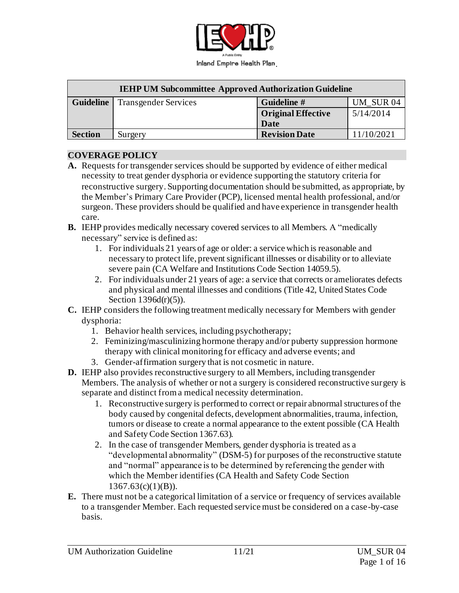

| <b>IEHP UM Subcommittee Approved Authorization Guideline</b> |                             |                           |            |  |
|--------------------------------------------------------------|-----------------------------|---------------------------|------------|--|
| <b>Guideline</b>                                             | <b>Transgender Services</b> | Guideline #               | UM SUR 04  |  |
|                                                              |                             | <b>Original Effective</b> | 5/14/2014  |  |
|                                                              |                             | <b>Date</b>               |            |  |
| <b>Section</b>                                               | Surgery                     | <b>Revision Date</b>      | 11/10/2021 |  |

#### **COVERAGE POLICY**

- **A.** Requests for transgender services should be supported by evidence of either medical necessity to treat gender dysphoria or evidence supporting the statutory criteria for reconstructive surgery. Supporting documentation should be submitted, as appropriate, by the Member's Primary Care Provider (PCP), licensed mental health professional, and/or surgeon. These providers should be qualified and have experience in transgender health care.
- **B.** IEHP provides medically necessary covered services to all Members. A "medically necessary" service is defined as:
	- 1. For individuals 21 years of age or older: a service which is reasonable and necessary to protect life, prevent significant illnesses or disability or to alleviate severe pain (CA Welfare and Institutions Code Section 14059.5).
	- 2. For individuals under 21 years of age: a service that corrects or ameliorates defects and physical and mental illnesses and conditions (Title 42, United States Code Section 1396d(r)(5)).
- **C.** IEHP considers the following treatment medically necessary for Members with gender dysphoria:
	- 1. Behavior health services, including psychotherapy;
	- 2. Feminizing/masculinizing hormone therapy and/or puberty suppression hormone therapy with clinical monitoring for efficacy and adverse events; and
	- 3. Gender-affirmation surgery that is not cosmetic in nature.
- **D.** IEHP also provides reconstructive surgery to all Members, including transgender Members. The analysis of whether or not a surgery is considered reconstructive surgery is separate and distinct from a medical necessity determination.
	- 1. Reconstructive surgery is performed to correct or repair abnormal structures of the body caused by congenital defects, development abnormalities, trauma, infection, tumors or disease to create a normal appearance to the extent possible (CA Health and Safety Code Section 1367.63).
	- 2. In the case of transgender Members, gender dysphoria is treated as a "developmental abnormality" (DSM-5) for purposes of the reconstructive statute and "normal" appearance is to be determined by referencing the gender with which the Member identifies (CA Health and Safety Code Section  $1367.63(c)(1)(B)$ .
- **E.** There must not be a categorical limitation of a service or frequency of services available to a transgender Member. Each requested service must be considered on a case-by-case basis.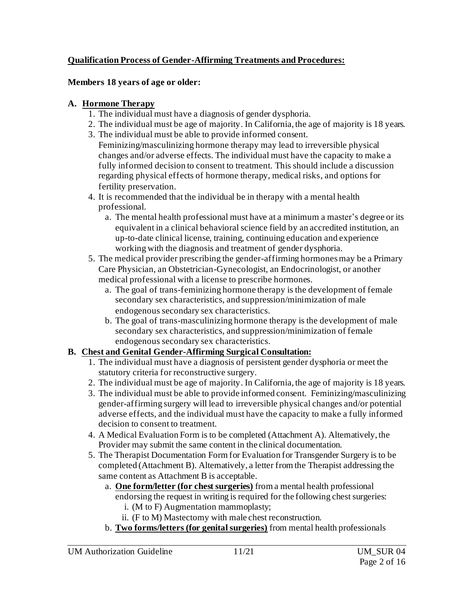#### **Qualification Process of Gender-Affirming Treatments and Procedures:**

#### **Members 18 years of age or older:**

#### **A. Hormone Therapy**

- 1. The individual must have a diagnosis of gender dysphoria.
- 2. The individual must be age of majority. In California, the age of majority is 18 years.
- 3. The individual must be able to provide informed consent.

Feminizing/masculinizing hormone therapy may lead to irreversible physical changes and/or adverse effects. The individual must have the capacity to make a fully informed decision to consent to treatment. This should include a discussion regarding physical effects of hormone therapy, medical risks, and options for fertility preservation.

- 4. It is recommended that the individual be in therapy with a mental health professional.
	- a. The mental health professional must have at a minimum a master's degree or its equivalent in a clinical behavioral science field by an accredited institution, an up-to-date clinical license, training, continuing education and experience working with the diagnosis and treatment of gender dysphoria.
- 5. The medical provider prescribing the gender-affirming hormones may be a Primary Care Physician, an Obstetrician-Gynecologist, an Endocrinologist, or another medical professional with a license to prescribe hormones.
	- a. The goal of trans-feminizing hormone therapy is the development of female secondary sex characteristics, and suppression/minimization of male endogenous secondary sex characteristics.
	- b. The goal of trans-masculinizing hormone therapy is the development of male secondary sex characteristics, and suppression/minimization of female endogenous secondary sex characteristics.

## **B. Chest and Genital Gender-Affirming Surgical Consultation:**

- 1. The individual must have a diagnosis of persistent gender dysphoria or meet the statutory criteria for reconstructive surgery.
- 2. The individual must be age of majority. In California, the age of majority is 18 years.
- 3. The individual must be able to provide informed consent. Feminizing/masculinizing gender-affirming surgery will lead to irreversible physical changes and/or potential adverse effects, and the individual must have the capacity to make a fully informed decision to consent to treatment.
- 4. A Medical Evaluation Form is to be completed (Attachment A). Alternatively, the Provider may submit the same content in the clinical documentation.
- 5. The Therapist Documentation Form for Evaluation for Transgender Surgery is to be completed (Attachment B). Alternatively, a letter from the Therapist addressing the same content as Attachment B is acceptable.
	- a. **One form/letter (for chest surgeries)** from a mental health professional endorsing the request in writing is required for the following chest surgeries:
		- i. (M to F) Augmentation mammoplasty;
		- ii. (F to M) Mastectomy with male chest reconstruction.
	- b. **Two forms/letters (for genital surgeries)** from mental health professionals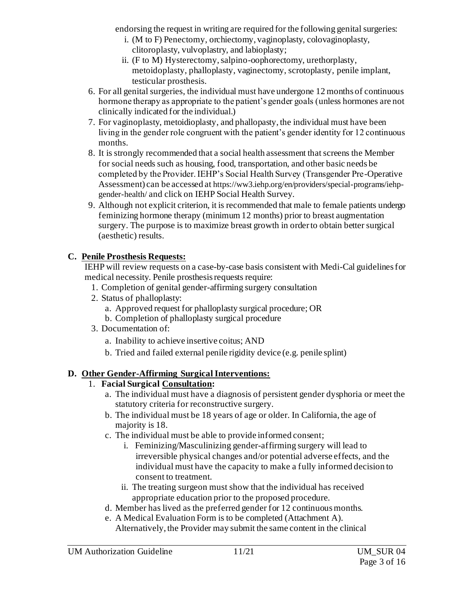endorsing the request in writing are required for the following genital surgeries:

- i. (M to F) Penectomy, orchiectomy, vaginoplasty, colovaginoplasty, clitoroplasty, vulvoplastry, and labioplasty;
- ii. (F to M) Hysterectomy, salpino-oophorectomy, urethorplasty, metoidoplasty, phalloplasty, vaginectomy, scrotoplasty, penile implant, testicular prosthesis.
- 6. For all genital surgeries, the individual must have undergone 12 months of continuous hormone therapy as appropriate to the patient's gender goals (unless hormones are not clinically indicated for the individual.)
- 7. For vaginoplasty, metoidioplasty, and phallopasty, the individual must have been living in the gender role congruent with the patient's gender identity for 12 continuous months.
- 8. It is strongly recommended that a social health assessment that screens the Member for social needs such as housing, food, transportation, and other basic needs be completed by the Provider. IEHP's Social Health Survey (Transgender Pre-Operative Assessment) can be accessed at https://ww3.iehp.org/en/providers/special-programs/iehpgender-health/ and click on IEHP Social Health Survey.
- 9. Although not explicit criterion, it is recommended that male to female patients undergo feminizing hormone therapy (minimum 12 months) prior to breast augmentation surgery. The purpose is to maximize breast growth in order to obtain better surgical (aesthetic) results.

# **C. Penile Prosthesis Requests:**

IEHP will review requests on a case-by-case basis consistent with Medi-Cal guidelines for medical necessity. Penile prosthesis requests require:

- 1. Completion of genital gender-affirming surgery consultation
- 2. Status of phalloplasty:
	- a. Approved request for phalloplasty surgical procedure; OR
	- b. Completion of phalloplasty surgical procedure
- 3. Documentation of:
	- a. Inability to achieve insertive coitus; AND
	- b. Tried and failed external penile rigidity device (e.g. penile splint)

# **D. Other Gender-Affirming Surgical Interventions:**

# 1. **Facial Surgical Consultation:**

- a. The individual must have a diagnosis of persistent gender dysphoria or meet the statutory criteria for reconstructive surgery.
- b. The individual must be 18 years of age or older. In California, the age of majority is 18.
- c. The individual must be able to provide informed consent;
	- i. Feminizing/Masculinizing gender-affirming surgery will lead to irreversible physical changes and/or potential adverse effects, and the individual must have the capacity to make a fully informed decision to consent to treatment.
	- ii. The treating surgeon must show that the individual has received appropriate education prior to the proposed procedure.
- d. Member has lived as the preferred gender for 12 continuous months.
- e. A Medical Evaluation Form is to be completed (Attachment A). Alternatively, the Provider may submit the same content in the clinical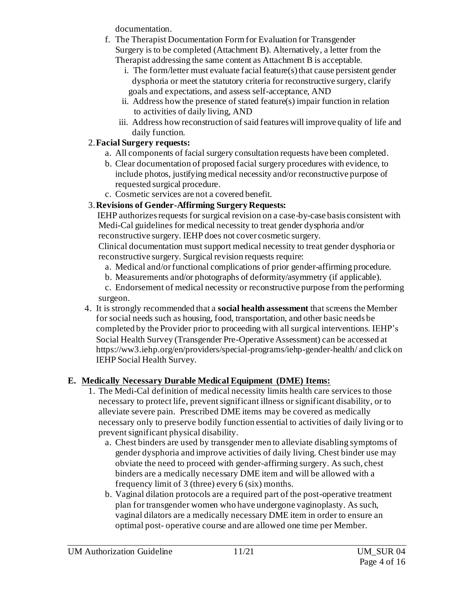documentation.

- f. The Therapist Documentation Form for Evaluation for Transgender Surgery is to be completed (Attachment B). Alternatively, a letter from the Therapist addressing the same content as Attachment B is acceptable.
	- i. The form/letter must evaluate facial feature(s) that cause persistent gender dysphoria or meet the statutory criteria for reconstructive surgery, clarify goals and expectations, and assess self-acceptance, AND
	- ii. Address how the presence of stated feature(s) impair function in relation to activities of daily living, AND
	- iii. Address how reconstruction of said features will improve quality of life and daily function.

## 2.**Facial Surgery requests:**

- a. All components of facial surgery consultation requests have been completed.
- b. Clear documentation of proposed facial surgery procedures with evidence, to include photos, justifying medical necessity and/or reconstructive purpose of requested surgical procedure.
- c. Cosmetic services are not a covered benefit.

## 3.**Revisions of Gender-Affirming Surgery Requests:**

IEHP authorizes requests for surgical revision on a case-by-case basis consistent with Medi-Cal guidelines for medical necessity to treat gender dysphoria and/or reconstructive surgery. IEHP does not cover cosmetic surgery.

Clinical documentation must support medical necessity to treat gender dysphoria or reconstructive surgery. Surgical revision requests require:

- a. Medical and/or functional complications of prior gender-affirming procedure.
- b. Measurements and/or photographs of deformity/asymmetry (if applicable).

c. Endorsement of medical necessity or reconstructive purpose from the performing surgeon.

4. It is strongly recommended that a **social health assessment** that screens the Member for social needs such as housing, food, transportation, and other basic needs be completed by the Provider prior to proceeding with all surgical interventions. IEHP's Social Health Survey (Transgender Pre-Operative Assessment) can be accessed at https://ww3.iehp.org/en/providers/special-programs/iehp-gender-health/ and click on IEHP Social Health Survey.

# **E. Medically Necessary Durable Medical Equipment (DME) Items:**

- 1. The Medi-Cal definition of medical necessity limits health care services to those necessary to protect life, prevent significant illness or significant disability, or to alleviate severe pain. Prescribed DME items may be covered as medically necessary only to preserve bodily function essential to activities of daily living or to prevent significant physical disability.
	- a. Chest binders are used by transgender men to alleviate disabling symptoms of gender dysphoria and improve activities of daily living. Chest binder use may obviate the need to proceed with gender-affirming surgery. As such, chest binders are a medically necessary DME item and will be allowed with a frequency limit of 3 (three) every 6 (six) months.
	- b. Vaginal dilation protocols are a required part of the post-operative treatment plan for transgender women who have undergone vaginoplasty. As such, vaginal dilators are a medically necessary DME item in order to ensure an optimal post- operative course and are allowed one time per Member.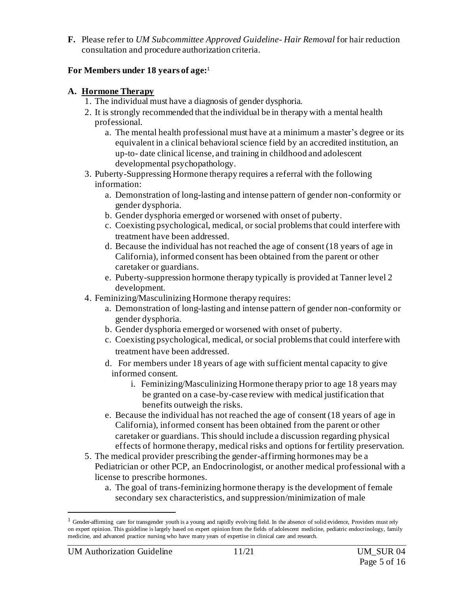**F.** Please refer to *UM Subcommittee Approved Guideline- Hair Removal* for hair reduction consultation and procedure authorization criteria.

#### **For Members under 18 years of age:** 1

#### **A. Hormone Therapy**

- 1. The individual must have a diagnosis of gender dysphoria.
- 2. It is strongly recommended that the individual be in therapy with a mental health professional.
	- a. The mental health professional must have at a minimum a master's degree or its equivalent in a clinical behavioral science field by an accredited institution, an up-to- date clinical license, and training in childhood and adolescent developmental psychopathology.
- 3. Puberty-Suppressing Hormone therapy requires a referral with the following information:
	- a. Demonstration of long-lasting and intense pattern of gender non-conformity or gender dysphoria.
	- b. Gender dysphoria emerged or worsened with onset of puberty.
	- c. Coexisting psychological, medical, or social problems that could interfere with treatment have been addressed.
	- d. Because the individual has not reached the age of consent (18 years of age in California), informed consent has been obtained from the parent or other caretaker or guardians.
	- e. Puberty-suppression hormone therapy typically is provided at Tanner level 2 development.
- 4. Feminizing/Masculinizing Hormone therapy requires:
	- a. Demonstration of long-lasting and intense pattern of gender non-conformity or gender dysphoria.
	- b. Gender dysphoria emerged or worsened with onset of puberty.
	- c. Coexisting psychological, medical, or social problems that could interfere with treatment have been addressed.
	- d. For members under 18 years of age with sufficient mental capacity to give informed consent.
		- i. Feminizing/Masculinizing Hormone therapy prior to age 18 years may be granted on a case-by-case review with medical justification that benefits outweigh the risks.
	- e. Because the individual has not reached the age of consent (18 years of age in California), informed consent has been obtained from the parent or other caretaker or guardians. This should include a discussion regarding physical effects of hormone therapy, medical risks and options for fertility preservation.
- 5. The medical provider prescribing the gender-affirming hormones may be a Pediatrician or other PCP, an Endocrinologist, or another medical professional with a license to prescribe hormones.
	- a. The goal of trans-feminizing hormone therapy is the development of female secondary sex characteristics, and suppression/minimization of male

 $<sup>1</sup>$  Gender-affirming care for transgender youth is a young and rapidly evolving field. In the absence of solid evidence, Providers must rely</sup> on expert opinion. This guideline is largely based on expert opinion from the fields of adolescent medicine, pediatric endocrinology, family medicine, and advanced practice nursing who have many years of expertise in clinical care and research.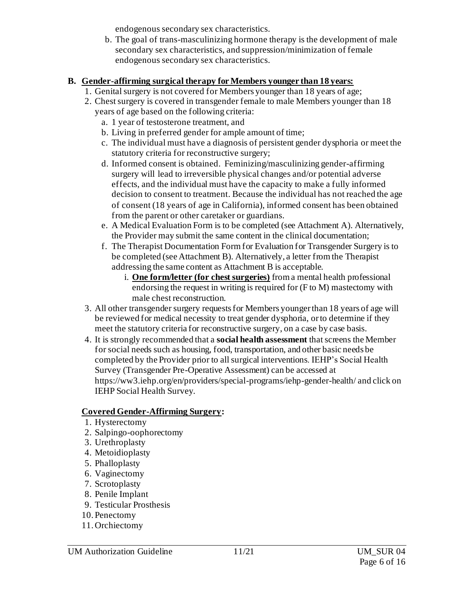endogenous secondary sex characteristics.

b. The goal of trans-masculinizing hormone therapy is the development of male secondary sex characteristics, and suppression/minimization of female endogenous secondary sex characteristics.

#### **B. Gender-affirming surgical therapy for Members younger than 18 years:**

- 1. Genital surgery is not covered for Members younger than 18 years of age;
- 2. Chest surgery is covered in transgender female to male Members younger than 18 years of age based on the following criteria:
	- a. 1 year of testosterone treatment, and
	- b. Living in preferred gender for ample amount of time;
	- c. The individual must have a diagnosis of persistent gender dysphoria or meet the statutory criteria for reconstructive surgery;
	- d. Informed consent is obtained. Feminizing/masculinizing gender-affirming surgery will lead to irreversible physical changes and/or potential adverse effects, and the individual must have the capacity to make a fully informed decision to consent to treatment. Because the individual has not reached the age of consent (18 years of age in California), informed consent has been obtained from the parent or other caretaker or guardians.
	- e. A Medical Evaluation Form is to be completed (see Attachment A). Alternatively, the Provider may submit the same content in the clinical documentation;
	- f. The Therapist Documentation Form for Evaluation for Transgender Surgery is to be completed (see Attachment B). Alternatively, a letter from the Therapist addressing the same content as Attachment B is acceptable.
		- i. **One form/letter (for chest surgeries)** from a mental health professional endorsing the request in writing is required for (F to M) mastectomy with male chest reconstruction.
- 3. All other transgender surgery requests for Members younger than 18 years of age will be reviewed for medical necessity to treat gender dysphoria, or to determine if they meet the statutory criteria for reconstructive surgery, on a case by case basis.
- 4. It is strongly recommended that a **social health assessment** that screens the Member for social needs such as housing, food, transportation, and other basic needs be completed by the Provider prior to all surgical interventions. IEHP's Social Health Survey (Transgender Pre-Operative Assessment) can be accessed at https://ww3.iehp.org/en/providers/special-programs/iehp-gender-health/ and click on IEHP Social Health Survey.

## **Covered Gender-Affirming Surgery:**

- 1. Hysterectomy
- 2. Salpingo-oophorectomy
- 3. Urethroplasty
- 4. Metoidioplasty
- 5. Phalloplasty
- 6. Vaginectomy
- 7. Scrotoplasty
- 8. Penile Implant
- 9. Testicular Prosthesis
- 10. Penectomy
- 11. Orchiectomy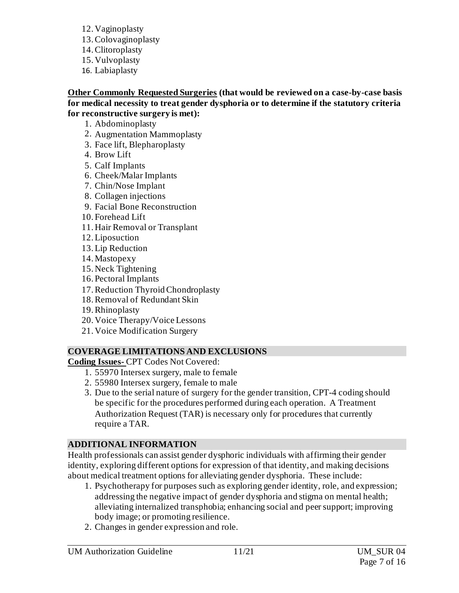- 12. Vaginoplasty
- 13.Colovaginoplasty
- 14.Clitoroplasty
- 15. Vulvoplasty
- 16. Labiaplasty

**Other Commonly Requested Surgeries (that would be reviewed on a case-by-case basis for medical necessity to treat gender dysphoria or to determine if the statutory criteria for reconstructive surgery is met):** 

- 1. Abdominoplasty
- 2. Augmentation Mammoplasty
- 3. Face lift, Blepharoplasty
- 4. Brow Lift
- 5. Calf Implants
- 6. Cheek/Malar Implants
- 7. Chin/Nose Implant
- 8. Collagen injections
- 9. Facial Bone Reconstruction
- 10. Forehead Lift
- 11. Hair Removal or Transplant
- 12.Liposuction
- 13.Lip Reduction
- 14. Mastopexy
- 15. Neck Tightening
- 16. Pectoral Implants
- 17.Reduction Thyroid Chondroplasty
- 18.Removal of Redundant Skin
- 19.Rhinoplasty
- 20. Voice Therapy/Voice Lessons
- 21. Voice Modification Surgery

## **COVERAGE LIMITATIONS AND EXCLUSIONS**

**Coding Issues-** CPT Codes Not Covered:

- 1. 55970 Intersex surgery, male to female
- 2. 55980 Intersex surgery, female to male
- 3. Due to the serial nature of surgery for the gender transition, CPT-4 coding should be specific for the procedures performed during each operation. A Treatment Authorization Request (TAR) is necessary only for procedures that currently require a TAR.

## **ADDITIONAL INFORMATION**

Health professionals can assist gender dysphoric individuals with affirming their gender identity, exploring different options for expression of that identity, and making decisions about medical treatment options for alleviating gender dysphoria. These include:

- 1. Psychotherapy for purposes such as exploring gender identity, role, and expression; addressing the negative impact of gender dysphoria and stigma on mental health; alleviating internalized transphobia; enhancing social and peer support; improving body image; or promoting resilience.
- 2. Changes in gender expression and role.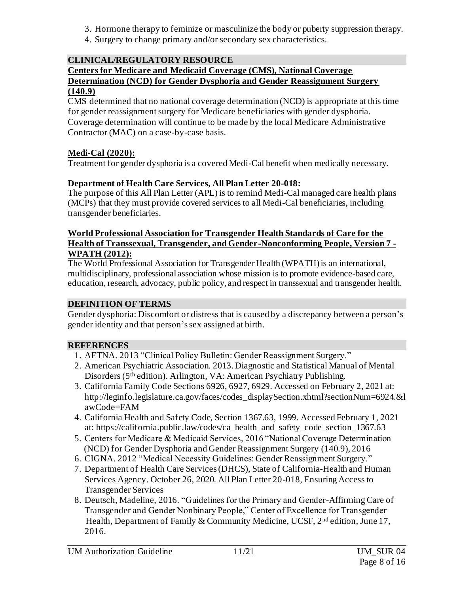- 3. Hormone therapy to feminize or masculinize the body or puberty suppression therapy.
- 4. Surgery to change primary and/or secondary sex characteristics.

# **CLINICAL/REGULATORY RESOURCE**

#### **Centers for Medicare and Medicaid Coverage (CMS), National Coverage Determination (NCD) for Gender Dysphoria and Gender Reassignment Surgery (140.9)**

CMS determined that no national coverage determination (NCD) is appropriate at this time for gender reassignment surgery for Medicare beneficiaries with gender dysphoria. Coverage determination will continue to be made by the local Medicare Administrative Contractor (MAC) on a case-by-case basis.

## **Medi-Cal (2020):**

Treatment for gender dysphoria is a covered Medi-Cal benefit when medically necessary.

# **Department of Health Care Services, All Plan Letter 20-018:**

The purpose of this All Plan Letter (APL) is to remind Medi-Cal managed care health plans (MCPs) that they must provide covered services to all Medi-Cal beneficiaries, including transgender beneficiaries.

#### **World Professional Association for Transgender Health Standards of Care for the Health of Transsexual, Transgender, and Gender-Nonconforming People, Version 7 - WPATH (2012):**

The World Professional Association for Transgender Health (WPATH) is an international, multidisciplinary, professional association whose mission is to promote evidence-based care, education, research, advocacy, public policy, and respect in transsexual and transgender health.

## **DEFINITION OF TERMS**

Gender dysphoria: Discomfort or distress that is caused by a discrepancy between a person's gender identity and that person'ssex assigned at birth.

## **REFERENCES**

- 1. AETNA. 2013 "Clinical Policy Bulletin: Gender Reassignment Surgery."
- 2. American Psychiatric Association. 2013. Diagnostic and Statistical Manual of Mental Disorders (5<sup>th</sup> edition). Arlington, VA: American Psychiatry Publishing.
- 3. California Family Code Sections 6926, 6927, 6929. Accessed on February 2, 2021 at: [http://leginfo.legislature.ca.gov/faces/codes\\_displaySection.xhtml?sectionNum=6924.&l](http://leginfo.legislature.ca.gov/faces/codes_displaySection.xhtml?sectionNum=6924.&lawCode=FAM) [awCode=FAM](http://leginfo.legislature.ca.gov/faces/codes_displaySection.xhtml?sectionNum=6924.&lawCode=FAM)
- 4. California Health and Safety Code, Section 1367.63, 1999. Accessed February 1, 2021 at: https://california.public.law/codes/ca\_health\_and\_safety\_code\_section\_1367.63
- 5. Centers for Medicare & Medicaid Services, 2016 "National Coverage Determination (NCD) for Gender Dysphoria and Gender Reassignment Surgery (140.9), 2016
- 6. CIGNA. 2012 "Medical Necessity Guidelines: Gender Reassignment Surgery."
- 7. Department of Health Care Services (DHCS), State of California-Health and Human Services Agency. October 26, 2020. All Plan Letter 20-018, Ensuring Access to Transgender Services
- 8. Deutsch, Madeline, 2016. "Guidelines for the Primary and Gender-Affirming Care of Transgender and Gender Nonbinary People," Center of Excellence for Transgender Health, Department of Family & Community Medicine, UCSF, 2nd edition, June 17, 2016.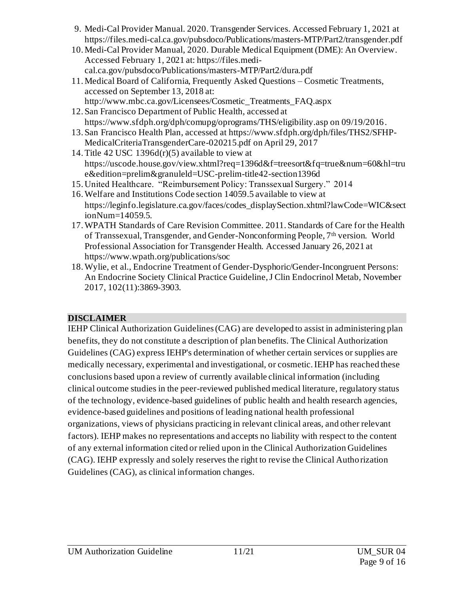- 9. Medi-Cal Provider Manual. 2020. Transgender Services. Accessed February 1, 2021 at <https://files.medi-cal.ca.gov/pubsdoco/Publications/masters-MTP/Part2/transgender.pdf>
- 10. Medi-Cal Provider Manual, 2020. Durable Medical Equipment (DME): An Overview. Accessed February 1, 2021 at: https://files.medical.ca.gov/pubsdoco/Publications/masters-MTP/Part2/dura.pdf
- 11. Medical Board of California, Frequently Asked Questions Cosmetic Treatments, accessed on September 13, 2018 at: [http://www.mbc.ca.gov/Licensees/Cosmetic\\_Treatments\\_FAQ.aspx](http://www.mbc.ca.gov/Licensees/Cosmetic_Treatments_FAQ.aspx)
- 12. San Francisco Department of Public Health, accessed at [https://www.sfdph.org/dph/comupg/oprograms/THS/eligibility.asp on 09/19/2016](https://www.sfdph.org/dph/comupg/oprograms/THS/eligibility.asp%20on%2009/19/2016).
- 13. San Francisco Health Plan, accessed a[t https://www.sfdph.org/dph/files/THS2/SFHP-](https://www.sfdph.org/dph/files/THS2/SFHP-%20%20%20MedicalCriteriaTransgenderCare-020215.pdf)[MedicalCriteriaTransgenderCare-020215.pdf](https://www.sfdph.org/dph/files/THS2/SFHP-%20%20%20MedicalCriteriaTransgenderCare-020215.pdf) on April 29, 2017
- 14. Title 42 USC 1396 $d(r)(5)$  available to view at https://uscode.house.gov/view.xhtml?req=1396d&f=treesort&fq=true&num=60&hl=tru e&edition=prelim&granuleld=USC-prelim-title42-section1396d
- 15. United Healthcare. "Reimbursement Policy: Transsexual Surgery." 2014
- 16.Welfare and Institutions Code section 14059.5 available to view at https://leginfo.legislature.ca.gov/faces/codes\_displaySection.xhtml?lawCode=WIC&sect ionNum=14059.5.
- 17.WPATH Standards of Care Revision Committee. 2011. Standards of Care for the Health of Transsexual, Transgender, and Gender-Nonconforming People, 7th version. World Professional Association for Transgender Health. Accessed January 26, 2021 at <https://www.wpath.org/publications/soc>
- 18.Wylie, et al., Endocrine Treatment of Gender-Dysphoric/Gender-Incongruent Persons: An Endocrine Society Clinical Practice Guideline, J Clin Endocrinol Metab, November 2017, 102(11):3869-3903.

## **DISCLAIMER**

IEHP Clinical Authorization Guidelines (CAG) are developed to assist in administering plan benefits, they do not constitute a description of plan benefits. The Clinical Authorization Guidelines (CAG) express IEHP's determination of whether certain services or supplies are medically necessary, experimental and investigational, or cosmetic. IEHP has reached these conclusions based upon a review of currently available clinical information (including clinical outcome studies in the peer-reviewed published medical literature, regulatory status of the technology, evidence-based guidelines of public health and health research agencies, evidence-based guidelines and positions of leading national health professional organizations, views of physicians practicing in relevant clinical areas, and other relevant factors). IEHP makes no representations and accepts no liability with respect to the content of any external information cited or relied upon in the Clinical Authorization Guidelines (CAG). IEHP expressly and solely reserves the right to revise the Clinical Authorization Guidelines (CAG), as clinical information changes.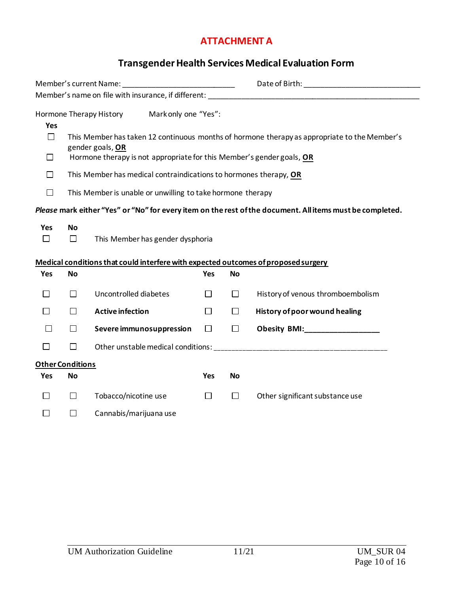#### **ATTACHMENT A**

# **Transgender Health Services Medical Evaluation Form**

| Member's current Name: ___________________________________ |                                                                                              |                                                                                    |                      |           |                                                                                                                                                                                                                                |  |
|------------------------------------------------------------|----------------------------------------------------------------------------------------------|------------------------------------------------------------------------------------|----------------------|-----------|--------------------------------------------------------------------------------------------------------------------------------------------------------------------------------------------------------------------------------|--|
|                                                            |                                                                                              |                                                                                    |                      |           |                                                                                                                                                                                                                                |  |
|                                                            |                                                                                              | Hormone Therapy History                                                            | Mark only one "Yes": |           |                                                                                                                                                                                                                                |  |
| <b>Yes</b>                                                 |                                                                                              |                                                                                    |                      |           |                                                                                                                                                                                                                                |  |
| $\Box$                                                     | This Member has taken 12 continuous months of hormone therapy as appropriate to the Member's |                                                                                    |                      |           |                                                                                                                                                                                                                                |  |
| $\Box$                                                     | gender goals, OR<br>Hormone therapy is not appropriate for this Member's gender goals, OR    |                                                                                    |                      |           |                                                                                                                                                                                                                                |  |
| $\Box$                                                     |                                                                                              |                                                                                    |                      |           |                                                                                                                                                                                                                                |  |
|                                                            | This Member has medical contraindications to hormones therapy, OR                            |                                                                                    |                      |           |                                                                                                                                                                                                                                |  |
| $\Box$                                                     | This Member is unable or unwilling to take hormone therapy                                   |                                                                                    |                      |           |                                                                                                                                                                                                                                |  |
|                                                            |                                                                                              |                                                                                    |                      |           | Please mark either "Yes" or "No" for every item on the rest of the document. All items must be completed.                                                                                                                      |  |
| Yes                                                        | <b>No</b>                                                                                    |                                                                                    |                      |           |                                                                                                                                                                                                                                |  |
| $\Box$                                                     | $\Box$                                                                                       | This Member has gender dysphoria                                                   |                      |           |                                                                                                                                                                                                                                |  |
|                                                            |                                                                                              |                                                                                    |                      |           |                                                                                                                                                                                                                                |  |
|                                                            |                                                                                              |                                                                                    |                      |           |                                                                                                                                                                                                                                |  |
|                                                            |                                                                                              | Medical conditions that could interfere with expected outcomes of proposed surgery |                      |           |                                                                                                                                                                                                                                |  |
| Yes                                                        | <b>No</b>                                                                                    |                                                                                    | Yes                  | <b>No</b> |                                                                                                                                                                                                                                |  |
| $\Box$                                                     | □                                                                                            | Uncontrolled diabetes                                                              | $\Box$               | $\Box$    | History of venous thromboembolism                                                                                                                                                                                              |  |
| □                                                          | П                                                                                            | <b>Active infection</b>                                                            | $\Box$               | $\Box$    | History of poor wound healing                                                                                                                                                                                                  |  |
| $\Box$                                                     | □                                                                                            | Severe immunosuppression                                                           | $\Box$               | $\Box$    |                                                                                                                                                                                                                                |  |
| $\Box$                                                     | $\Box$                                                                                       |                                                                                    |                      |           | Other unstable medical conditions: example and the state of the state of the state of the state of the state of the state of the state of the state of the state of the state of the state of the state of the state of the st |  |
|                                                            | <b>Other Conditions</b>                                                                      |                                                                                    |                      |           |                                                                                                                                                                                                                                |  |
| Yes                                                        | <b>No</b>                                                                                    |                                                                                    | <b>Yes</b>           | <b>No</b> |                                                                                                                                                                                                                                |  |
| $\Box$                                                     | $\Box$                                                                                       | Tobacco/nicotine use                                                               | $\Box$               | $\Box$    | Other significant substance use                                                                                                                                                                                                |  |
| □                                                          | $\Box$                                                                                       | Cannabis/marijuana use                                                             |                      |           |                                                                                                                                                                                                                                |  |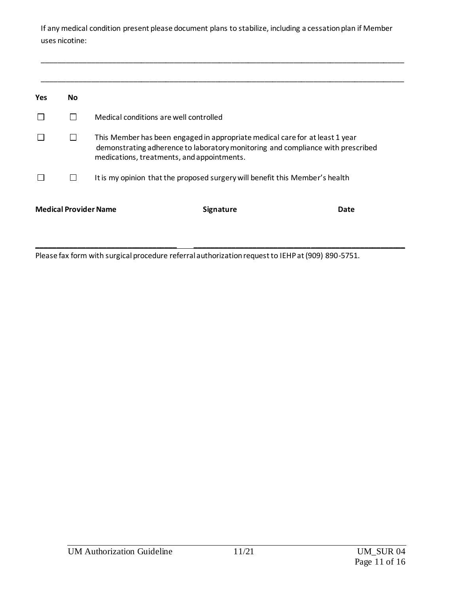If any medical condition present please document plans to stabilize, including a cessation plan if Member uses nicotine:

| <b>Yes</b> | <b>No</b> |                                                                                                                                                                                                               |
|------------|-----------|---------------------------------------------------------------------------------------------------------------------------------------------------------------------------------------------------------------|
|            | П         | Medical conditions are well controlled                                                                                                                                                                        |
|            | П         | This Member has been engaged in appropriate medical care for at least 1 year<br>demonstrating adherence to laboratory monitoring and compliance with prescribed<br>medications, treatments, and appointments. |
|            | $\Box$    | It is my opinion that the proposed surgery will benefit this Member's health                                                                                                                                  |
|            |           | <b>Medical Provider Name</b><br><b>Signature</b><br>Date                                                                                                                                                      |

Please fax form with surgical procedure referral authorization request to IEHP at (909) 890-5751.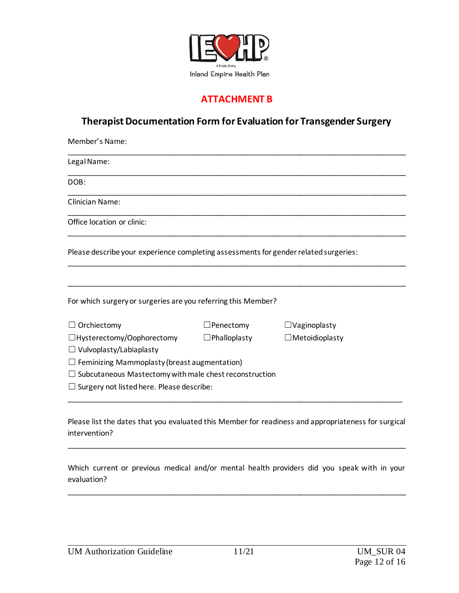

#### **ATTACHMENT B**

# **Therapist Documentation Form for Evaluation for Transgender Surgery**

| Member's Name:                                                                       |                     |                       |
|--------------------------------------------------------------------------------------|---------------------|-----------------------|
| Legal Name:                                                                          |                     |                       |
| DOB:                                                                                 |                     |                       |
| <b>Clinician Name:</b>                                                               |                     |                       |
| Office location or clinic:                                                           |                     |                       |
| Please describe your experience completing assessments for gender related surgeries: |                     |                       |
|                                                                                      |                     |                       |
| For which surgery or surgeries are you referring this Member?                        |                     |                       |
| $\Box$ Orchiectomy                                                                   | $\Box$ Penectomy    | $\Box$ Vaginoplasty   |
| $\Box$ Hysterectomy/Oophorectomy                                                     | $\Box$ Phalloplasty | $\Box$ Metoidioplasty |
| $\Box$ Vulvoplasty/Labiaplasty                                                       |                     |                       |
| $\Box$ Feminizing Mammoplasty (breast augmentation)                                  |                     |                       |
| $\Box$ Subcutaneous Mastectomy with male chest reconstruction                        |                     |                       |
| $\Box$ Surgery not listed here. Please describe:                                     |                     |                       |
|                                                                                      |                     |                       |

Please list the dates that you evaluated this Member for readiness and appropriateness for surgical intervention?

\_\_\_\_\_\_\_\_\_\_\_\_\_\_\_\_\_\_\_\_\_\_\_\_\_\_\_\_\_\_\_\_\_\_\_\_\_\_\_\_\_\_\_\_\_\_\_\_\_\_\_\_\_\_\_\_\_\_\_\_\_\_\_\_\_\_\_\_\_\_\_\_\_\_\_\_\_\_\_\_\_\_

Which current or previous medical and/or mental health providers did you speak with in your evaluation?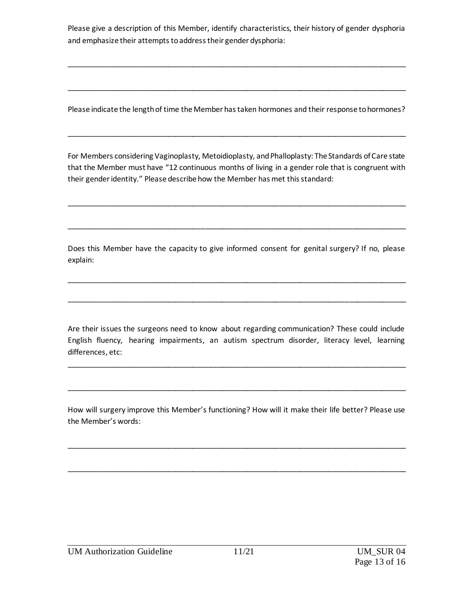Please give a description of this Member, identify characteristics, their history of gender dysphoria and emphasize their attempts to address their gender dysphoria:

\_\_\_\_\_\_\_\_\_\_\_\_\_\_\_\_\_\_\_\_\_\_\_\_\_\_\_\_\_\_\_\_\_\_\_\_\_\_\_\_\_\_\_\_\_\_\_\_\_\_\_\_\_\_\_\_\_\_\_\_\_\_\_\_\_\_\_\_\_\_\_\_\_\_\_\_\_\_\_\_\_\_

\_\_\_\_\_\_\_\_\_\_\_\_\_\_\_\_\_\_\_\_\_\_\_\_\_\_\_\_\_\_\_\_\_\_\_\_\_\_\_\_\_\_\_\_\_\_\_\_\_\_\_\_\_\_\_\_\_\_\_\_\_\_\_\_\_\_\_\_\_\_\_\_\_\_\_\_\_\_\_\_\_\_

Please indicate the length of time the Member has taken hormones and their response to hormones?

\_\_\_\_\_\_\_\_\_\_\_\_\_\_\_\_\_\_\_\_\_\_\_\_\_\_\_\_\_\_\_\_\_\_\_\_\_\_\_\_\_\_\_\_\_\_\_\_\_\_\_\_\_\_\_\_\_\_\_\_\_\_\_\_\_\_\_\_\_\_\_\_\_\_\_\_\_\_\_\_\_\_

For Members considering Vaginoplasty, Metoidioplasty, and Phalloplasty: The Standards of Care state that the Member must have "12 continuous months of living in a gender role that is congruent with their gender identity." Please describe how the Member has met this standard:

\_\_\_\_\_\_\_\_\_\_\_\_\_\_\_\_\_\_\_\_\_\_\_\_\_\_\_\_\_\_\_\_\_\_\_\_\_\_\_\_\_\_\_\_\_\_\_\_\_\_\_\_\_\_\_\_\_\_\_\_\_\_\_\_\_\_\_\_\_\_\_\_\_\_\_\_\_\_\_\_\_\_

\_\_\_\_\_\_\_\_\_\_\_\_\_\_\_\_\_\_\_\_\_\_\_\_\_\_\_\_\_\_\_\_\_\_\_\_\_\_\_\_\_\_\_\_\_\_\_\_\_\_\_\_\_\_\_\_\_\_\_\_\_\_\_\_\_\_\_\_\_\_\_\_\_\_\_\_\_\_\_\_\_\_

Does this Member have the capacity to give informed consent for genital surgery? If no, please explain:

\_\_\_\_\_\_\_\_\_\_\_\_\_\_\_\_\_\_\_\_\_\_\_\_\_\_\_\_\_\_\_\_\_\_\_\_\_\_\_\_\_\_\_\_\_\_\_\_\_\_\_\_\_\_\_\_\_\_\_\_\_\_\_\_\_\_\_\_\_\_\_\_\_\_\_\_\_\_\_\_\_\_

\_\_\_\_\_\_\_\_\_\_\_\_\_\_\_\_\_\_\_\_\_\_\_\_\_\_\_\_\_\_\_\_\_\_\_\_\_\_\_\_\_\_\_\_\_\_\_\_\_\_\_\_\_\_\_\_\_\_\_\_\_\_\_\_\_\_\_\_\_\_\_\_\_\_\_\_\_\_\_\_\_\_

Are their issues the surgeons need to know about regarding communication? These could include English fluency, hearing impairments, an autism spectrum disorder, literacy level, learning differences, etc:

\_\_\_\_\_\_\_\_\_\_\_\_\_\_\_\_\_\_\_\_\_\_\_\_\_\_\_\_\_\_\_\_\_\_\_\_\_\_\_\_\_\_\_\_\_\_\_\_\_\_\_\_\_\_\_\_\_\_\_\_\_\_\_\_\_\_\_\_\_\_\_\_\_\_\_\_\_\_\_\_\_\_

\_\_\_\_\_\_\_\_\_\_\_\_\_\_\_\_\_\_\_\_\_\_\_\_\_\_\_\_\_\_\_\_\_\_\_\_\_\_\_\_\_\_\_\_\_\_\_\_\_\_\_\_\_\_\_\_\_\_\_\_\_\_\_\_\_\_\_\_\_\_\_\_\_\_\_\_\_\_\_\_\_\_

How will surgery improve this Member's functioning? How will it make their life better? Please use the Member's words:

\_\_\_\_\_\_\_\_\_\_\_\_\_\_\_\_\_\_\_\_\_\_\_\_\_\_\_\_\_\_\_\_\_\_\_\_\_\_\_\_\_\_\_\_\_\_\_\_\_\_\_\_\_\_\_\_\_\_\_\_\_\_\_\_\_\_\_\_\_\_\_\_\_\_\_\_\_\_\_\_\_\_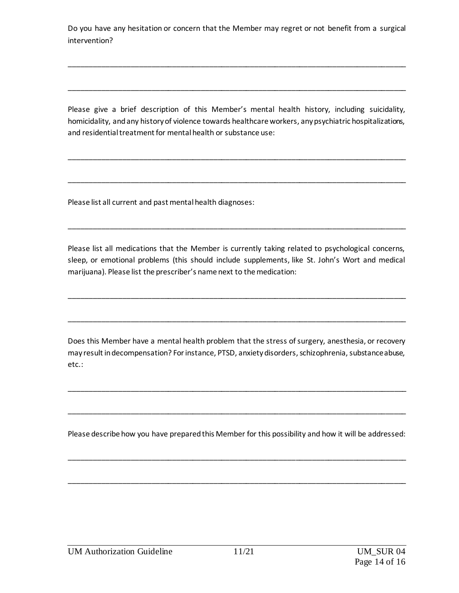Do you have any hesitation or concern that the Member may regret or not benefit from a surgical intervention?

\_\_\_\_\_\_\_\_\_\_\_\_\_\_\_\_\_\_\_\_\_\_\_\_\_\_\_\_\_\_\_\_\_\_\_\_\_\_\_\_\_\_\_\_\_\_\_\_\_\_\_\_\_\_\_\_\_\_\_\_\_\_\_\_\_\_\_\_\_\_\_\_\_\_\_\_\_\_\_\_\_\_

\_\_\_\_\_\_\_\_\_\_\_\_\_\_\_\_\_\_\_\_\_\_\_\_\_\_\_\_\_\_\_\_\_\_\_\_\_\_\_\_\_\_\_\_\_\_\_\_\_\_\_\_\_\_\_\_\_\_\_\_\_\_\_\_\_\_\_\_\_\_\_\_\_\_\_\_\_\_\_\_\_\_

Please give a brief description of this Member's mental health history, including suicidality, homicidality, and any history of violence towards healthcare workers, any psychiatric hospitalizations, and residential treatment for mental health or substance use:

\_\_\_\_\_\_\_\_\_\_\_\_\_\_\_\_\_\_\_\_\_\_\_\_\_\_\_\_\_\_\_\_\_\_\_\_\_\_\_\_\_\_\_\_\_\_\_\_\_\_\_\_\_\_\_\_\_\_\_\_\_\_\_\_\_\_\_\_\_\_\_\_\_\_\_\_\_\_\_\_\_\_

\_\_\_\_\_\_\_\_\_\_\_\_\_\_\_\_\_\_\_\_\_\_\_\_\_\_\_\_\_\_\_\_\_\_\_\_\_\_\_\_\_\_\_\_\_\_\_\_\_\_\_\_\_\_\_\_\_\_\_\_\_\_\_\_\_\_\_\_\_\_\_\_\_\_\_\_\_\_\_\_\_\_

Please list all current and past mental health diagnoses:

Please list all medications that the Member is currently taking related to psychological concerns, sleep, or emotional problems (this should include supplements, like St. John's Wort and medical marijuana). Please list the prescriber's name next to the medication:

\_\_\_\_\_\_\_\_\_\_\_\_\_\_\_\_\_\_\_\_\_\_\_\_\_\_\_\_\_\_\_\_\_\_\_\_\_\_\_\_\_\_\_\_\_\_\_\_\_\_\_\_\_\_\_\_\_\_\_\_\_\_\_\_\_\_\_\_\_\_\_\_\_\_\_\_\_\_\_\_\_\_

\_\_\_\_\_\_\_\_\_\_\_\_\_\_\_\_\_\_\_\_\_\_\_\_\_\_\_\_\_\_\_\_\_\_\_\_\_\_\_\_\_\_\_\_\_\_\_\_\_\_\_\_\_\_\_\_\_\_\_\_\_\_\_\_\_\_\_\_\_\_\_\_\_\_\_\_\_\_\_\_\_\_

\_\_\_\_\_\_\_\_\_\_\_\_\_\_\_\_\_\_\_\_\_\_\_\_\_\_\_\_\_\_\_\_\_\_\_\_\_\_\_\_\_\_\_\_\_\_\_\_\_\_\_\_\_\_\_\_\_\_\_\_\_\_\_\_\_\_\_\_\_\_\_\_\_\_\_\_\_\_\_\_\_\_

Does this Member have a mental health problem that the stress of surgery, anesthesia, or recovery may result in decompensation? For instance, PTSD, anxiety disorders, schizophrenia, substance abuse, etc.:

\_\_\_\_\_\_\_\_\_\_\_\_\_\_\_\_\_\_\_\_\_\_\_\_\_\_\_\_\_\_\_\_\_\_\_\_\_\_\_\_\_\_\_\_\_\_\_\_\_\_\_\_\_\_\_\_\_\_\_\_\_\_\_\_\_\_\_\_\_\_\_\_\_\_\_\_\_\_\_\_\_\_

Please describe how you have prepared this Member for this possibility and how it will be addressed:

\_\_\_\_\_\_\_\_\_\_\_\_\_\_\_\_\_\_\_\_\_\_\_\_\_\_\_\_\_\_\_\_\_\_\_\_\_\_\_\_\_\_\_\_\_\_\_\_\_\_\_\_\_\_\_\_\_\_\_\_\_\_\_\_\_\_\_\_\_\_\_\_\_\_\_\_\_\_\_\_\_\_

\_\_\_\_\_\_\_\_\_\_\_\_\_\_\_\_\_\_\_\_\_\_\_\_\_\_\_\_\_\_\_\_\_\_\_\_\_\_\_\_\_\_\_\_\_\_\_\_\_\_\_\_\_\_\_\_\_\_\_\_\_\_\_\_\_\_\_\_\_\_\_\_\_\_\_\_\_\_\_\_\_\_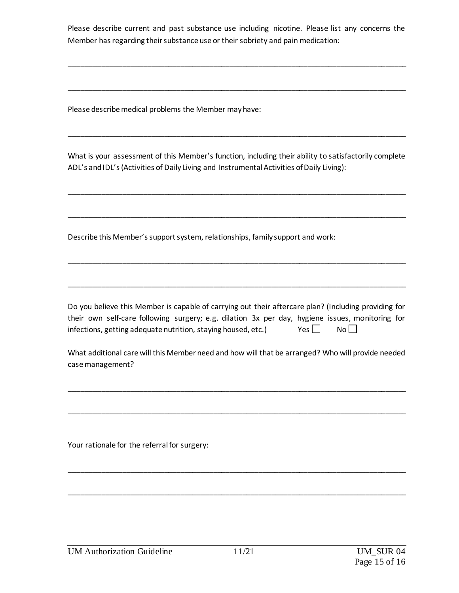Please describe current and past substance use including nicotine. Please list any concerns the Member has regarding their substance use or their sobriety and pain medication:

\_\_\_\_\_\_\_\_\_\_\_\_\_\_\_\_\_\_\_\_\_\_\_\_\_\_\_\_\_\_\_\_\_\_\_\_\_\_\_\_\_\_\_\_\_\_\_\_\_\_\_\_\_\_\_\_\_\_\_\_\_\_\_\_\_\_\_\_\_\_\_\_\_\_\_\_\_\_\_\_\_\_

\_\_\_\_\_\_\_\_\_\_\_\_\_\_\_\_\_\_\_\_\_\_\_\_\_\_\_\_\_\_\_\_\_\_\_\_\_\_\_\_\_\_\_\_\_\_\_\_\_\_\_\_\_\_\_\_\_\_\_\_\_\_\_\_\_\_\_\_\_\_\_\_\_\_\_\_\_\_\_\_\_\_

Please describe medical problems the Member may have:

What is your assessment of this Member's function, including their ability to satisfactorily complete ADL's and IDL's (Activities of Daily Living and Instrumental Activities of Daily Living):

\_\_\_\_\_\_\_\_\_\_\_\_\_\_\_\_\_\_\_\_\_\_\_\_\_\_\_\_\_\_\_\_\_\_\_\_\_\_\_\_\_\_\_\_\_\_\_\_\_\_\_\_\_\_\_\_\_\_\_\_\_\_\_\_\_\_\_\_\_\_\_\_\_\_\_\_\_\_\_\_\_\_

\_\_\_\_\_\_\_\_\_\_\_\_\_\_\_\_\_\_\_\_\_\_\_\_\_\_\_\_\_\_\_\_\_\_\_\_\_\_\_\_\_\_\_\_\_\_\_\_\_\_\_\_\_\_\_\_\_\_\_\_\_\_\_\_\_\_\_\_\_\_\_\_\_\_\_\_\_\_\_\_\_\_

\_\_\_\_\_\_\_\_\_\_\_\_\_\_\_\_\_\_\_\_\_\_\_\_\_\_\_\_\_\_\_\_\_\_\_\_\_\_\_\_\_\_\_\_\_\_\_\_\_\_\_\_\_\_\_\_\_\_\_\_\_\_\_\_\_\_\_\_\_\_\_\_\_\_\_\_\_\_\_\_\_\_

\_\_\_\_\_\_\_\_\_\_\_\_\_\_\_\_\_\_\_\_\_\_\_\_\_\_\_\_\_\_\_\_\_\_\_\_\_\_\_\_\_\_\_\_\_\_\_\_\_\_\_\_\_\_\_\_\_\_\_\_\_\_\_\_\_\_\_\_\_\_\_\_\_\_\_\_\_\_\_\_\_\_

\_\_\_\_\_\_\_\_\_\_\_\_\_\_\_\_\_\_\_\_\_\_\_\_\_\_\_\_\_\_\_\_\_\_\_\_\_\_\_\_\_\_\_\_\_\_\_\_\_\_\_\_\_\_\_\_\_\_\_\_\_\_\_\_\_\_\_\_\_\_\_\_\_\_\_\_\_\_\_\_\_\_

Describe this Member's support system, relationships, family support and work:

Do you believe this Member is capable of carrying out their aftercare plan? (Including providing for their own self-care following surgery; e.g. dilation 3x per day, hygiene issues, monitoring for infections, getting adequate nutrition, staying housed, etc.) Yes  $\Box$  No  $\Box$ 

What additional care will this Member need and how will that be arranged? Who will provide needed case management?

\_\_\_\_\_\_\_\_\_\_\_\_\_\_\_\_\_\_\_\_\_\_\_\_\_\_\_\_\_\_\_\_\_\_\_\_\_\_\_\_\_\_\_\_\_\_\_\_\_\_\_\_\_\_\_\_\_\_\_\_\_\_\_\_\_\_\_\_\_\_\_\_\_\_\_\_\_\_\_\_\_\_

\_\_\_\_\_\_\_\_\_\_\_\_\_\_\_\_\_\_\_\_\_\_\_\_\_\_\_\_\_\_\_\_\_\_\_\_\_\_\_\_\_\_\_\_\_\_\_\_\_\_\_\_\_\_\_\_\_\_\_\_\_\_\_\_\_\_\_\_\_\_\_\_\_\_\_\_\_\_\_\_\_\_

\_\_\_\_\_\_\_\_\_\_\_\_\_\_\_\_\_\_\_\_\_\_\_\_\_\_\_\_\_\_\_\_\_\_\_\_\_\_\_\_\_\_\_\_\_\_\_\_\_\_\_\_\_\_\_\_\_\_\_\_\_\_\_\_\_\_\_\_\_\_\_\_\_\_\_\_\_\_\_\_\_\_

\_\_\_\_\_\_\_\_\_\_\_\_\_\_\_\_\_\_\_\_\_\_\_\_\_\_\_\_\_\_\_\_\_\_\_\_\_\_\_\_\_\_\_\_\_\_\_\_\_\_\_\_\_\_\_\_\_\_\_\_\_\_\_\_\_\_\_\_\_\_\_\_\_\_\_\_\_\_\_\_\_\_

Your rationale for the referral for surgery: